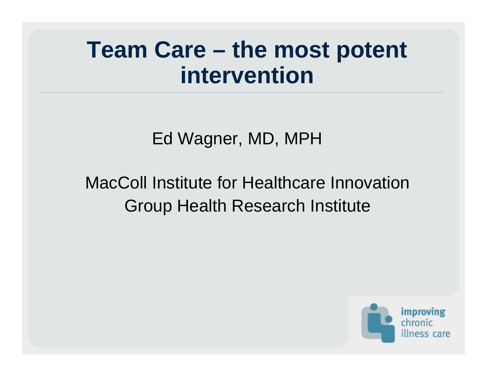#### **Team Care – the most potent intervention**

#### Ed Wagner, MD, MPH

#### MacColl Institute for Healthcare InnovationGroup Health Research Institute

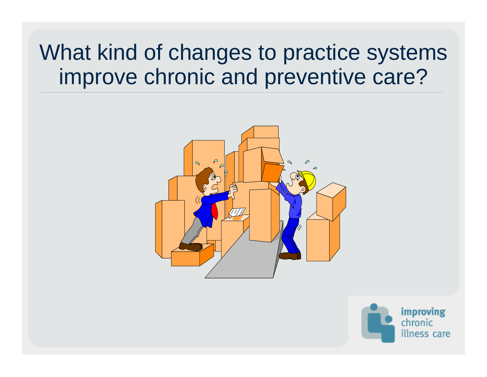#### What kind of changes to practice systems improve chronic and preventive care?



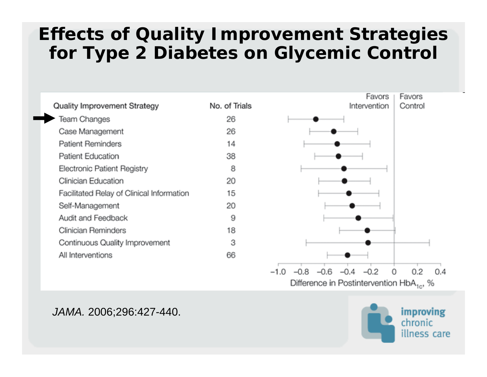#### **Effects of Quality Improvement Strategies for Type 2 Diabetes on Glycemic Control**



Difference in Postintervention HbA<sub>1c</sub>, %

#### *JAMA.* 2006;296:427-440.

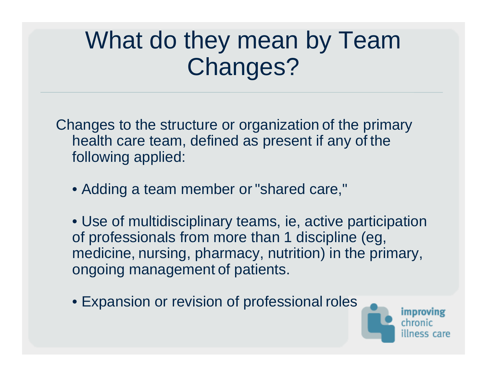#### What do they mean by Team Changes?

Changes to the structure or organization of the primary health care team, defined as present if any of the following applied:

• Adding a team member or "shared care,"

• Use of multidisciplinary teams, ie, active participation of professionals from more than 1 discipline (eg, medicine, nursing, pharmacy, nutrition) in the primary, ongoing management of patients.

• Expansion or revision of professional roles

improving ss care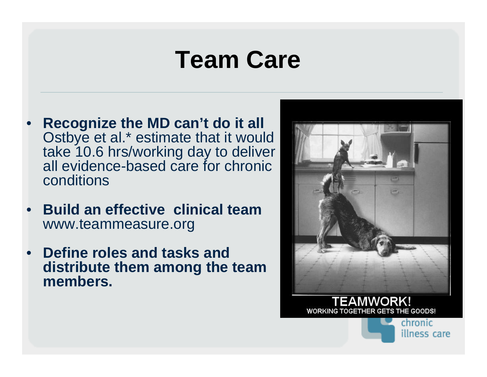#### **Team Care**

- **Recognize the MD can't do it all**  Ostbye et al.\* estimate that it would take 10.6 hrs/working day to deliver all evidence-based care for chronic conditions
- **Build an effective clinical team**  www.teammeasure.org
- **Define roles and tasks and distribute them among the team members.**



**WORKING TOGETHER GETS THE GOODS!** 

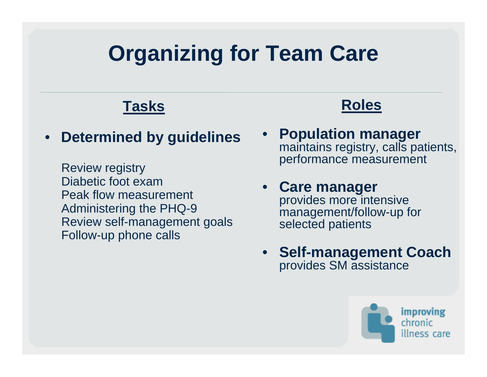#### **Organizing for Team Care**

#### **Tasks**

#### • **Determined by guidelines**

Review registry Diabetic foot exam Peak flow measurement Administering the PHQ-9 Review self-management goals Follow-up phone calls

- **Roles**
- **Population manager**  maintains registry, calls patients, performance measurement

#### • **Care manager**  provides more intensive management/follow-up for selected patients

• **Self-management Coach**  provides SM assistance

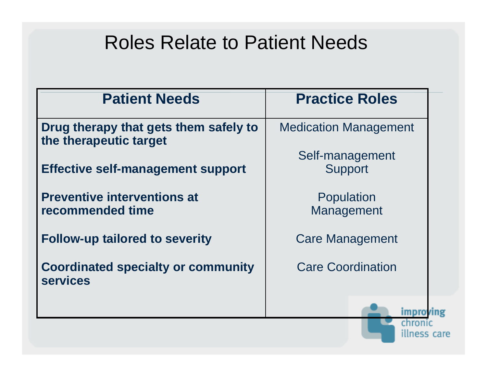#### Roles Relate to Patient Needs

| <b>Patient Needs</b>                                            | <b>Practice Roles</b>        |
|-----------------------------------------------------------------|------------------------------|
| Drug therapy that gets them safely to<br>the therapeutic target | <b>Medication Management</b> |
| <b>Effective self-management support</b>                        | Self-management<br>Support   |
| <b>Preventive interventions at</b><br>recommended time          | Population<br>Management     |
| <b>Follow-up tailored to severity</b>                           | <b>Care Management</b>       |
| <b>Coordinated specialty or community</b><br><b>services</b>    | <b>Care Coordination</b>     |
|                                                                 | chroni                       |

illness care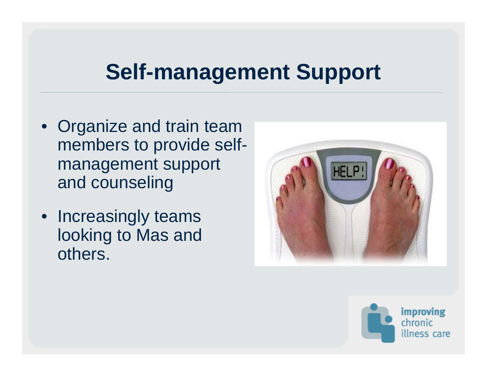#### **Self-management Support**

- Organize and train team members to provide selfmanagement support and counseling
- Increasingly teams looking to Mas and others.



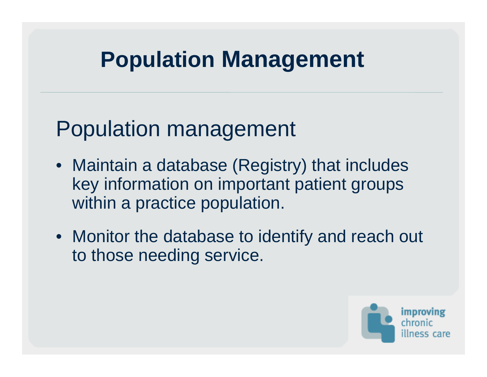#### **Population Management**

#### Population management

- Maintain a database (Registry) that includes key information on important patient groups within a practice population.
- Monitor the database to identify and reach out to those needing service.

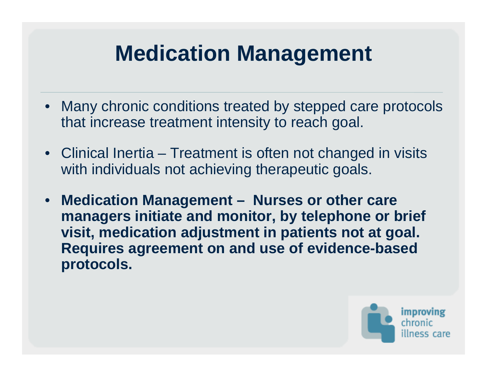#### **Medication Management**

- Many chronic conditions treated by stepped care protocols that increase treatment intensity to reach goal.
- Clinical Inertia Treatment is often not changed in visits with individuals not achieving therapeutic goals.
- **Medication Management Nurses or other care managers initiate and monitor, by telephone or brief visit, medication adjustment in patients not at goal. Requires agreement on and use of evidence-based protocols.**

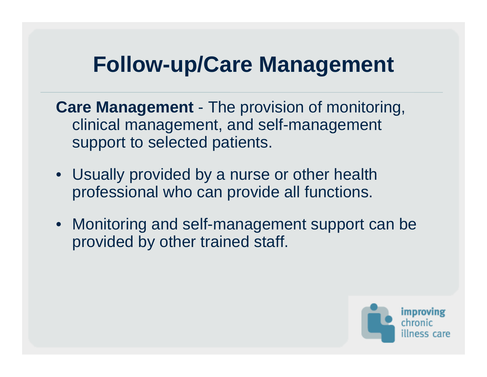#### **Follow-up/Care Management**

**Care Management** - The provision of monitoring, clinical management, and self-management support to selected patients.

- Usually provided by a nurse or other health professional who can provide all functions.
- Monitoring and self-management support can be provided by other trained staff.

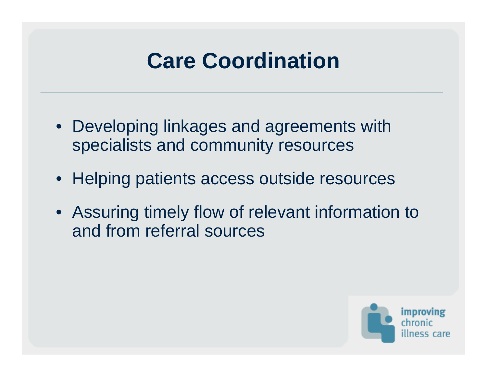#### **Care Coordination**

- Developing linkages and agreements with specialists and community resources
- Helping patients access outside resources
- Assuring timely flow of relevant information to and from referral sources

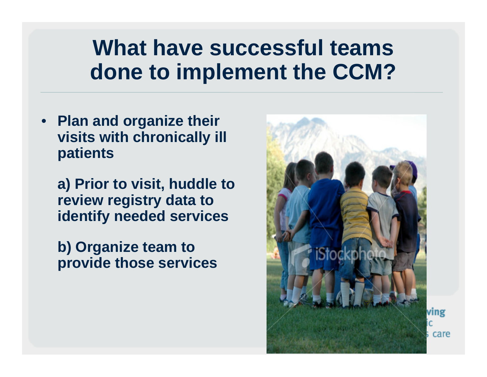#### **What have successful teams done to implement the CCM?**

• **Plan and organize their visits with chronically ill patients**

**a) Prior to visit, huddle to review registry data to identify needed services**

**b) Organize team to provide those services**



care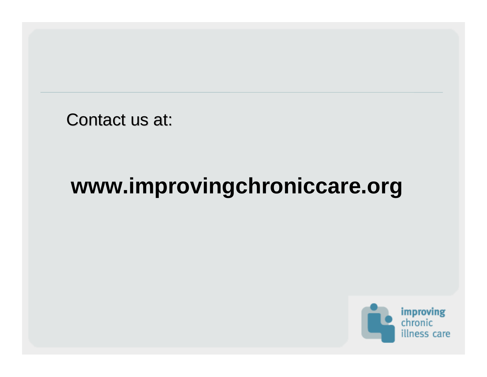Contact us at:

#### **www.improvingchroniccare.org**

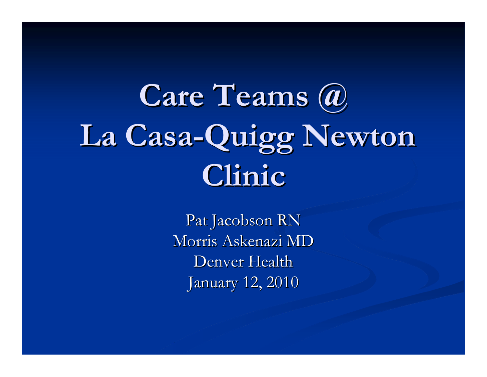#### **Care Teams @ Care Teams @ La Casa La Casa -Quigg Newton Clinic**

Pat Jacobson RN Morris Askenazi MD Denver Health January 12,  $2010$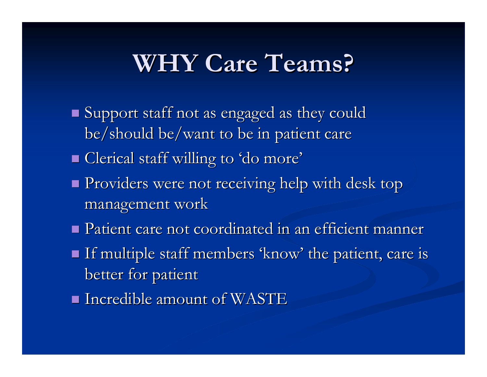#### **WHY Care Teams? WHY Care Teams?**

- $\blacksquare$  Support staff not as engaged as they could be/should be/want to be in patient care
- **Clerical staff willing to 'do more'**
- **Providers were not receiving help with desk top** management work
- $\blacksquare$  Patient care not coordinated in an efficient manner
- If multiple staff members 'know' the patient, care is better for patient
- $\blacksquare$  Incredible amount of WASTE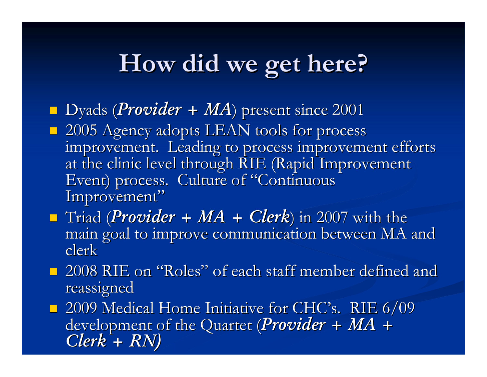#### **How did we get here? How did we get here?**

- **Dyads (Provider + MA) present since 2001**
- **2005 Agency adopts LEAN tools for process** improvement. Leading to process improvement efforts at the clinic level through RIE (Rapid Improvement Event) process. Culture of "Continuous Improvement"
- **T**riad (*Provider* + *MA* + *Clerk*) in 2007 with the main goal to improve communication between MA and clerk
- $\blacksquare$  2008 RIE on "Roles" of each staff member defined and reassigned

**2009 Medical Home Initiative for CHC's. RIE 6/09** development of the Quartet (*Provider* + *MA* + Clerk + RN)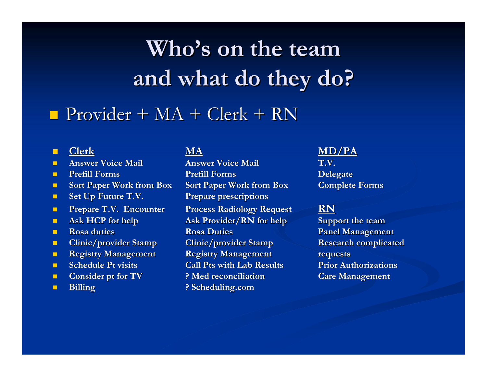### **Who's on the team and what do they do? and what do they do?**

#### $\blacksquare$  Provider + MA + Clerk + RN

#### $\blacksquare$

- $\blacksquare$
- $\blacksquare$
- **C** Service
- $\blacksquare$
- $\blacksquare$
- $\blacksquare$
- $\blacksquare$
- $\blacksquare$
- $\blacksquare$
- $\blacksquare$
- $\blacksquare$
- $\blacksquare$

 **Answer Voice Mail Answer Voice Mail Answer Voice Mail Answer Voice Mail T.V. Prefill Prefill Forms Prefill Prefill Forms Delegate Delegate Sort Paper Work from Box Sort Paper Work from Box <b>Complete Forms Set Up Future T.V. Prepare prescriptions Prepare T.V. Encounter Process Radiology Request RN Ask HCP for help Ask Provider/RN for help Support the team Rosa duties Rosa Duties Rosa Duties Panel Management Clinic/provider Stamp Clinic/provider Stamp Research complicated Registry Management Registry Management Registry Management Schedule Pt visits Call Pts with Lab Results Prior Authorizations Consider pt for TV ? Med reconciliation Care Management Billing Billing ? Scheduling.com ? Scheduling.com** 

# **Clerk MA MD/PA**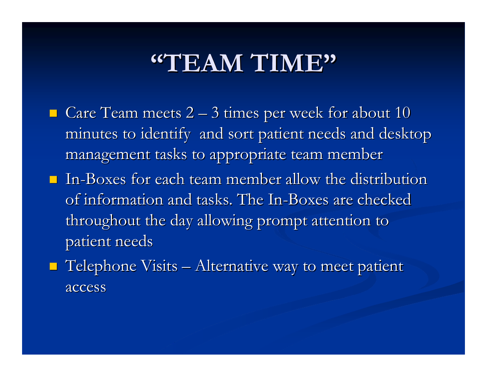#### **"TEAM TIME"**

- $\blacksquare$  Care Team meets 2 3 times per week for about 10 minutes to identify and sort patient needs and desktop management tasks to appropriate team member
- $\blacksquare$  In-Boxes for each team member allow the distribution of information and tasks. The In-Boxes are checked throughout the day allowing prompt attention to patient needs
- $\blacksquare$  Telephone Visits Alternative way to meet patient access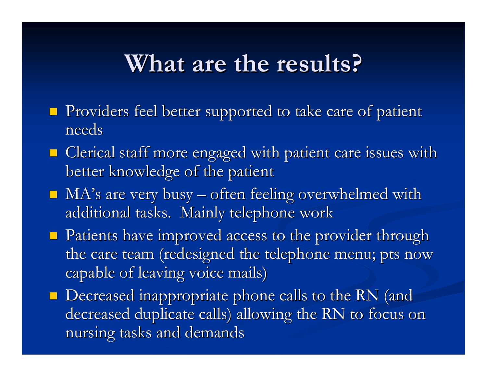#### **What are the results? What are the results?**

- **Providers feel better supported to take care of patient** needs
- $\blacksquare$  Clerical staff more engaged with patient care issues with better knowledge of the patient
- $\blacksquare$  MA's are very busy  $-$  often feeling overwhelmed with additional tasks. Mainly telephone work
- **Patients have improved access to the provider through** the care team (redesigned the telephone menu; pts now capable of leaving voice mails)
- **Decreased inappropriate phone calls to the RN** (and decreased duplicate calls) allowing the RN to focus on nursing tasks and demands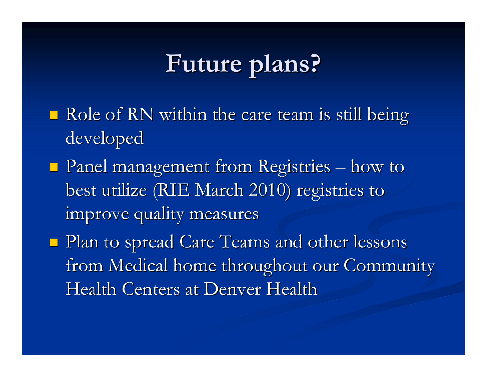#### **Future plans? Future plans?**

- $\blacksquare$  Role of RN within the care team is still being developed
- **Panel management from Registries** – how to best utilize (RIE March 2010) registries to improve quality measures
- Plan to spread Care Teams and other lessons from Medical home throughout our Community Health Centers at Denver Health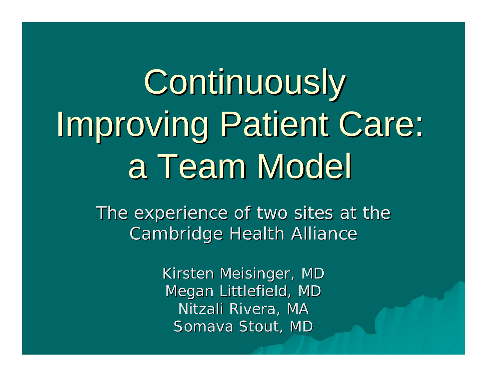# **Continuously** Improving Patient Care: a Team Model

The experience of two sites at the **Cambridge Health Alliance** 

> Kirsten Meisinger, MD Megan Littlefield, MD Nitzali Rivera, MA Somava Stout, MD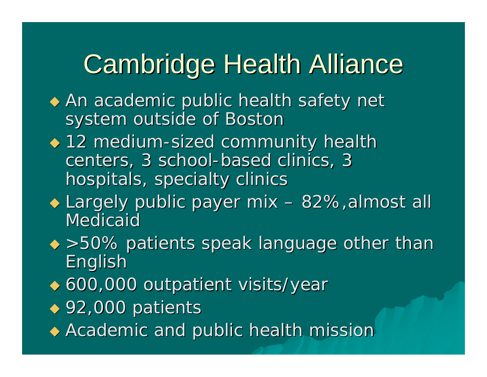# **Cambridge Health Alliance**

- $\blacklozenge$  An academic public health safety net system outside of Boston
- ◆ 12 medium-sized community health centers, 3 school-based clinics, 3 hospitals, specialty clinics
- Largely public payer mix Largely public payer mix –– 82%,almost all Medicaid
- $\leftrightarrow$  >50% patients speak language other than **English**
- ◆ 600,000 outpatient visits/year
- ◆ 92,000 patients
- $\blacklozenge$  Academic and public health mission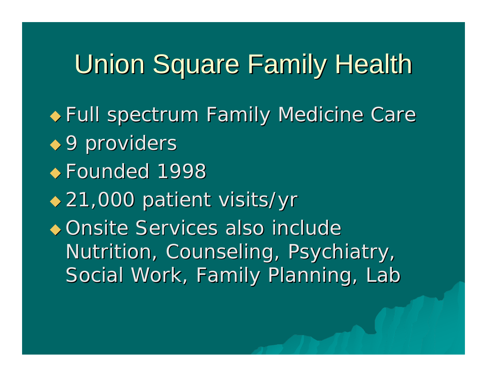# Union Square Family Health

Full spectrum Family Medicine Care Full spectrum Family Medicine Care

- $\leftrightarrow$  9 providers
- ◆ Founded 1998
- 21,000 patient visits/yr 21,000 patient visits/yr
- ◆ Onsite Services also include Nutrition, Counseling, Psychiatry, Social Work, Family Planning, Lab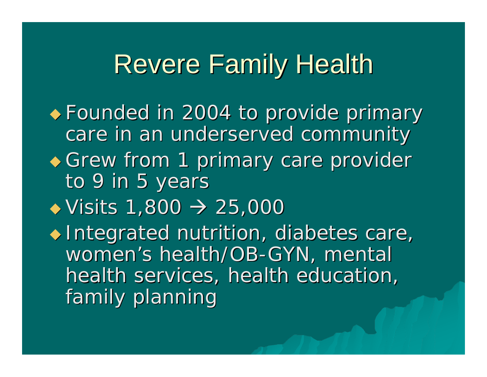#### **Revere Family Health**

 Founded in 2004 to provide primary Founded in 2004 to provide primary care in an underserved community  $\triangle$  Grew from 1 primary care provider to 9 in 5 years  $\rightarrow$  Visits 1,800  $\rightarrow$  25,000  $\blacklozenge$  Integrated nutrition, diabetes care, women's health/OB-GYN, mental health services, health education, family planning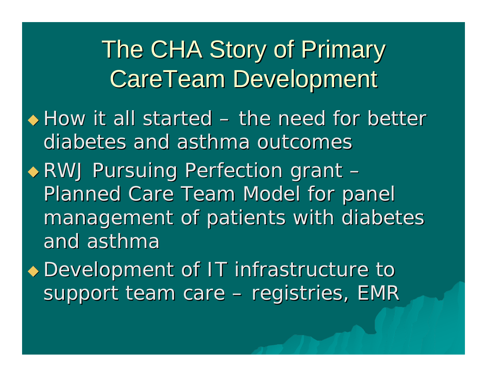The CHA Story of Primary CareTeam Development

- $\blacklozenge$  How it all started –- the need for better diabetes and asthma outcomes
- RWJ Pursuing Perfection grant RWJ Pursuing Perfection grant –Planned Care Team Model for panel management of patients with diabetes and asthma
- Development of IT infrastructure to Development of IT infrastructure to support team care –– registries, EMR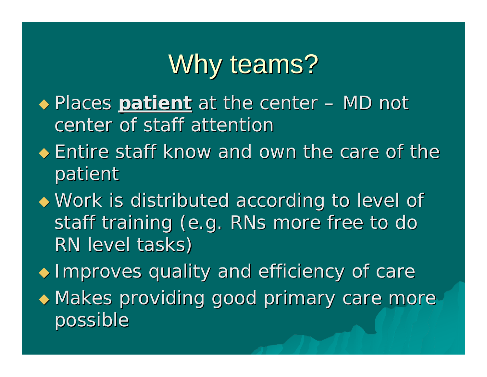# Why teams?

- $\rightarrow$  Places *patient* at the center – MD not center of staff attention
- $\bullet$  Entire staff know and own the care of the patient
- $\blacklozenge$  Work is distributed according to level of staff training (e.g. RNs more free to do RN level tasks)
- $\blacklozenge$  Improves quality and efficiency of care
- $\bullet$  Makes providing good primary care more possible possible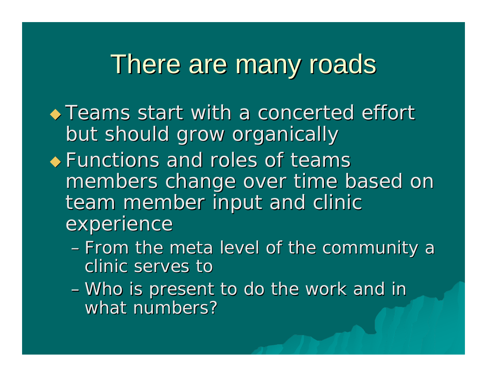#### There are many roads There are many roads

 $\rightarrow$  Teams start with a concerted effort but should grow organically

- $\triangle$  Functions and roles of teams members change over time based on team member input and clinic experience
	- From the meta level of the community a clinic serves to
	- Who is present to do the work and in what numbers?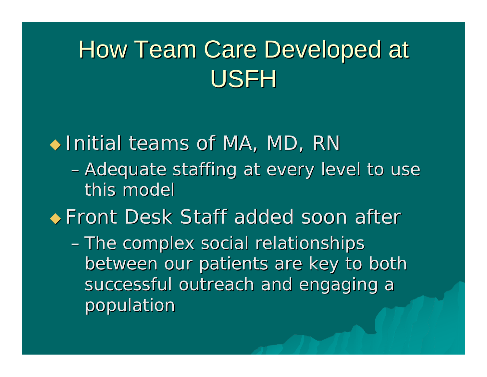# How Team Care Developed at USFH

 $\blacklozenge$  Initial teams of MA, MD, RN – Adequate staffing at every level to use this model ◆ Front Desk Staff added soon after - The complex social relationships between our patients are key to both successful outreach and engaging a population population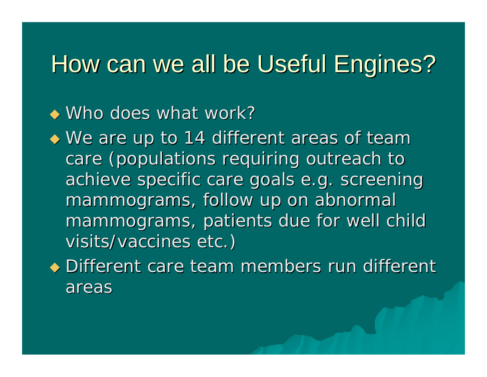#### How can we all be Useful Engines?

#### $\bullet$  Who does what work?

 $\blacklozenge$  We are up to 14 different areas of team care (populations requiring outreach to achieve specific care goals e.g. screening mammograms, follow up on abnormal mammograms, patients due for well child visits/vaccines etc.)

 $\bullet$  Different care team members run different areas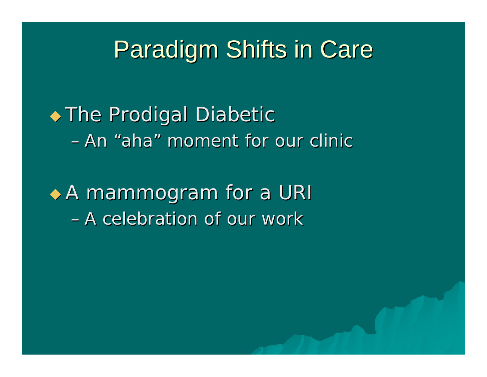#### **Paradigm Shifts in Care**

#### $\blacklozenge$  The Prodigal Diabetic –An "aha" moment for our clinic

 $\triangle$  A mammogram for a URI –A celebration of our work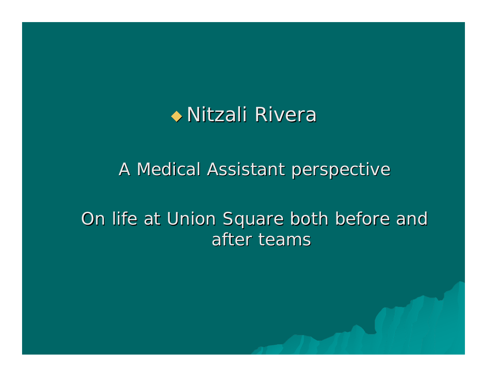

#### A Medical Assistant perspective

#### On life at Union Square both before and after teams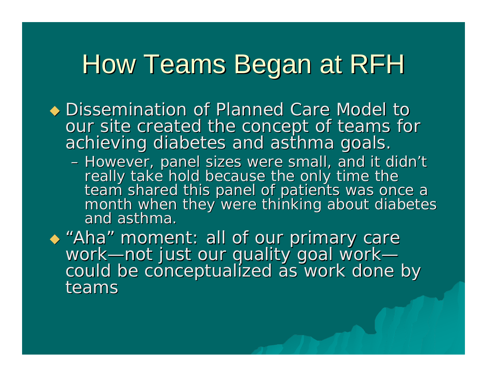# How Teams Began at RFH

• Dissemination of Planned Care Model to our site created the concept of teams for achieving diabetes and asthma goals.

- However, panel sizes were small, and it didn't<br>really take hold because the only time the<br>team shared this panel of patients was once a<br>month when they were thinking about diabetes and asthma.

 "Aha "Aha" moment: all of our primary care<br>work—not just our quality goal work— could be conceptualized as work done by teams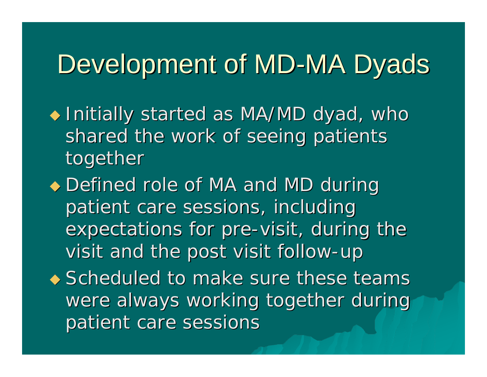# Development of MD-MA Dyads

- $\blacklozenge$  Initially started as MA/MD dyad, who shared the work of seeing patients together
- Defined role of MA and MD during patient care sessions, including expectations for pre-visit, during the visit and the post visit follow-up
- $\leftrightarrow$  Scheduled to make sure these teams were always working together during patient care sessions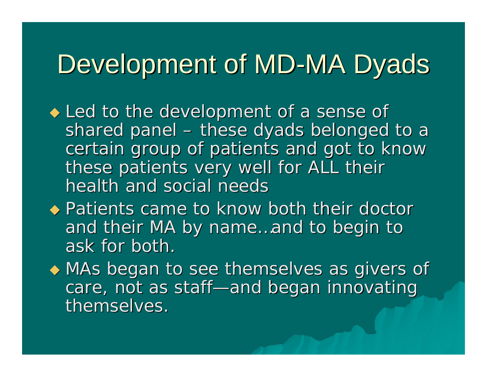# Development of MD-MA Dyads

- $\blacklozenge$  Led to the development of a sense of shared panel –– these dyads belonged to a certain group of patients and got to know certain group of patients and got to know these patients very well for ALL their health and social needs
- $\leftrightarrow$  Patients came to know both their doctor and their MA by name...and to begin to ask for both.
- $\blacklozenge$  MAs began to see themselves as givers of care, not as staff—and began innovating themselves.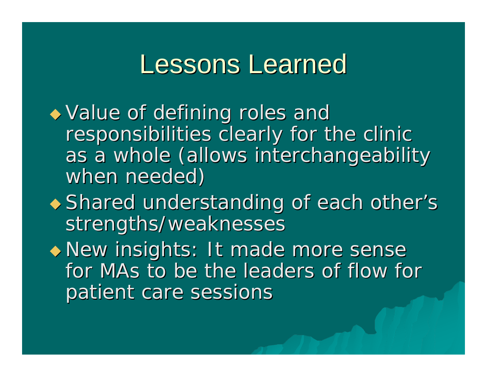#### Lessons Learned

 $\blacktriangleright$  Value of defining roles and responsibilities clearly for the clinic as a whole (allows interchangeability when needed)

 $\blacklozenge$  Shared understanding of each other's strengths/weaknesses

 New insights: It made more sense New insights: It made more sense for MAs to be the leaders of flow for patient care sessions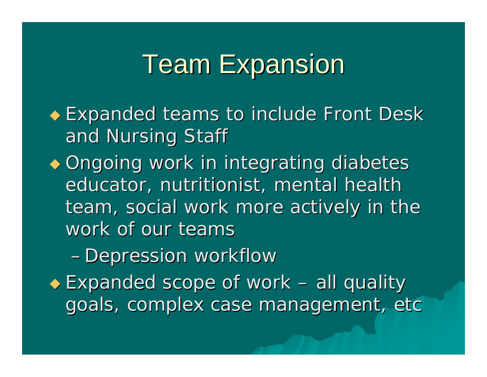# **Team Expansion**

 $\bullet$  Expanded teams to include Front Desk and Nursing Staff

 $\bullet$  Ongoing work in integrating diabetes educator, nutritionist, mental health team, social work more actively in the work of our teams

– Depression workflow

◆ Expanded scope of work –– all quality goals, complex case management, etc goals, complex case management, etc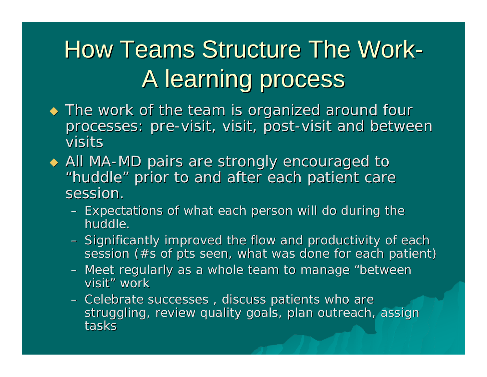# How Teams Structure The Work-A learning process

- $\blacklozenge$  The work of the team is organized around four processes: pre-visit, visit, post-visit and between visits
- ◆ All MA-MD pairs are strongly encouraged to "huddle " prior to and after each patient care session.
	- $-$  Expectations of what each person will do during the huddle. huddle.
	- Significantly improved the flow and productivity of each session (#s of pts seen, what was done for each patient)
	- Meet regularly as a whole team to manage "between visit" " work
	- –– Celebrate successes , discuss patients who are struggling, review quality goals, plan outreach, assign tasks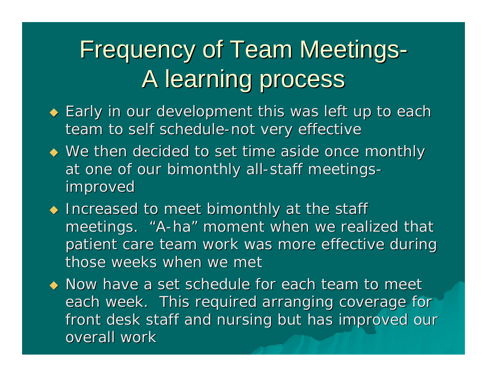# Frequency of Team Meetings-A learning process

- $\blacklozenge$  Early in our development this was left up to each team to self schedule-not very effective
- $\blacklozenge$  We then decided to set time aside once monthly at one of our bimonthly all-staff meetings improved improved
- $\blacklozenge$  Increased to meet bimonthly at the staff meetings. " A -ha " moment when we realized that patient care team work was more effective during those weeks when we met

 $\blacklozenge$  Now have a set schedule for each team to meet each week. This required arranging coverage for front desk staff and nursing but has improved our overall work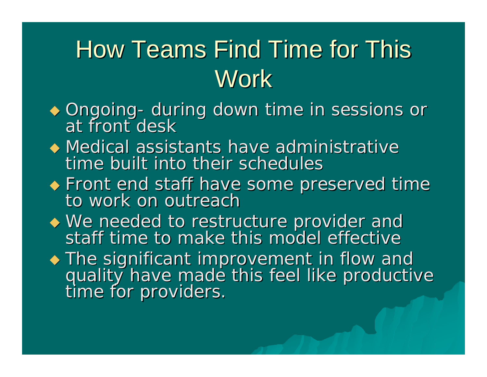# How Teams Find Time for This **Work**

- $\blacklozenge$  Ongoing -Ongoing- during down time in sessions or<br>at front desk at front desk
- $\blacklozenge$  Medical assistants have administrative time built into their schedules
- **Front end staff have some preserved time**  $\bullet$  Front end staff have some preserved time to work on outreach
- We needed to restructure provider and<br>Staff time to make this model effective staff time to make this model effective
- The significant improvement in flow and quality have made this feel like productive<br>time for providers.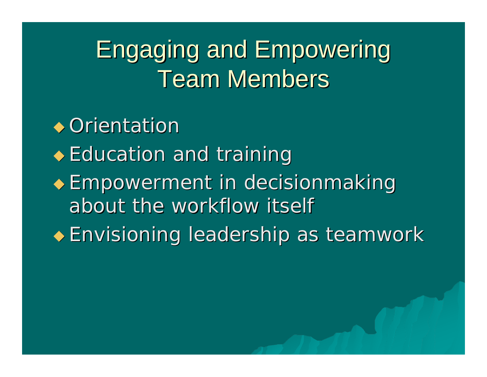#### **Engaging and Empowering Team Members**

#### $\rightarrow$  Orientation

- $\triangle$  Education and training
- **Empowerment in decisionmaking** about the workflow itself
- Envisioning leadership as teamwork Envisioning leadership as teamwork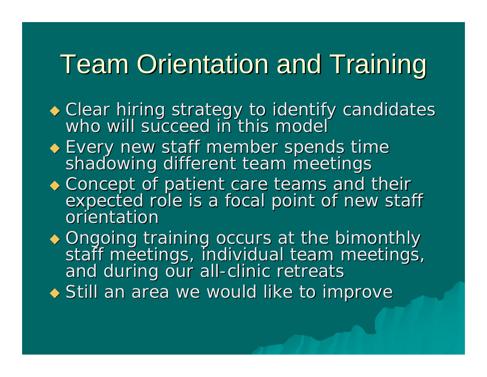# **Team Orientation and Training**

- Clear hiring strategy to identify candidates who will succeed in this model
- Every new staff member spends time shadowing different team meetings
- Concept of patient care teams and their<br>
Concept of patient care teams and their<br>
corientation<br>
expected role is a focal point of new staff orientation

• Ongoing training occurs at the bimonthly ◆ Ongoing training occurs at the bimonthly<br>staff meetings, individual team meetings,<br>and during our all-clinic retreats

 $\blacklozenge$  Still an area we would like to improve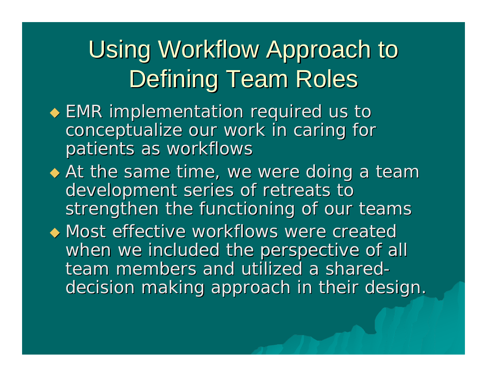# Using Workflow Approach to Defining Team Roles

- $\blacklozenge$  EMR implementation required us to conceptualize our work in caring for patients as workflows
- $\blacklozenge$  At the same time, we were doing a team development series of retreats to development series of retreats to strengthen the functioning of our teams

 $\leftrightarrow$  Most effective workflows were created when we included the perspective of all team members and utilized a shared decision making approach in their design.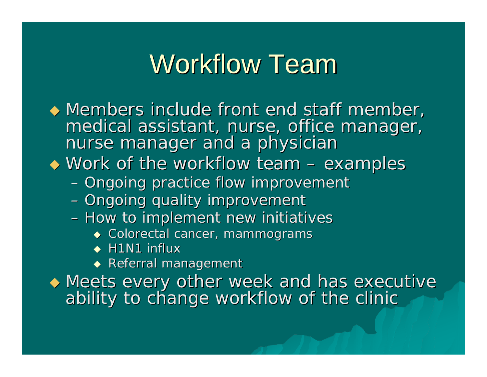# Workflow Team

 $\blacklozenge$  Members include front end staff member, medical assistant, nurse, office manager, nurse manager, nurse manager  $\bullet$  Work of the workflow team -– examples – Ongoing practice flow improvement – Ongoing quality improvement – How to implement new initiatives

- $\bullet$  Colorectal cancer, mammograms
- $\blacklozenge$  H1N1 influx
- $\blacklozenge$  Referral management

 $\blacklozenge$  Meets every other week and has executive ability to change workflow of the clinic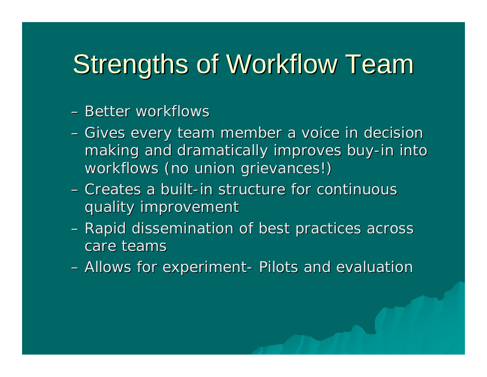# Strengths of Workflow Team

#### – Better workflows

- –– Gives every team member a voice in decision making and dramatically improves buy-in into workflows (no union grievances!)
- Creates a built-in structure for continuous quality improvement quality improvement
- –Rapid dissemination of best practices across Rapid dissemination of best practices across care teams
- –– Allows for experiment-- Pilots and evaluation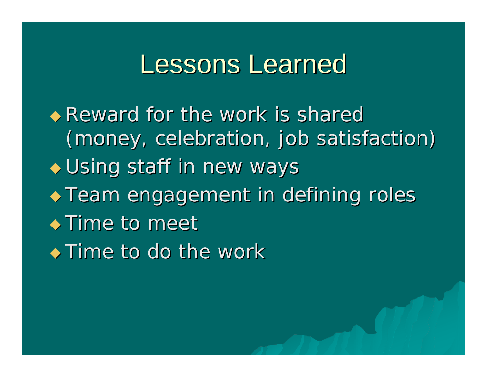#### Lessons Learned

 $\bullet$  Reward for the work is shared (money, celebration, job satisfaction)  $\bullet$  Using staff in new ways  $\rightarrow$  Team engagement in defining roles  $\bullet$  Time to meet  $\rightarrow$  Time to do the work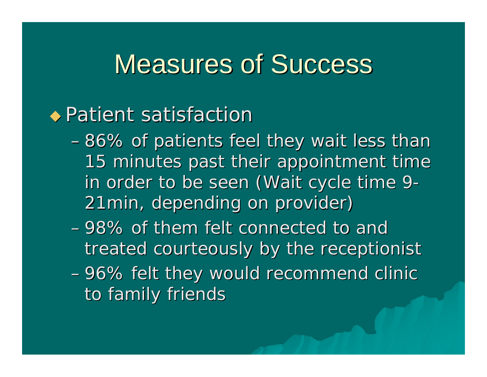#### **Measures of Success**

#### $\rightarrow$  Patient satisfaction

- $-86\%$  of patients feel they wait less than 15 minutes past their appointment time in order to be seen (Wait cycle time 9-21min, depending on provider) 21min, depending on provider)
- 98% of them felt connected to and treated courteously by the receptionist
- ––96% felt they would recommend clinic to family friends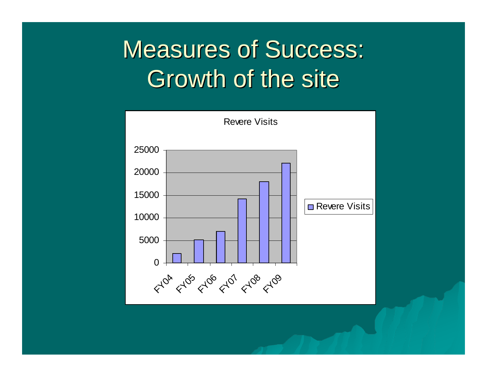#### **Measures of Success:** Growth of the site

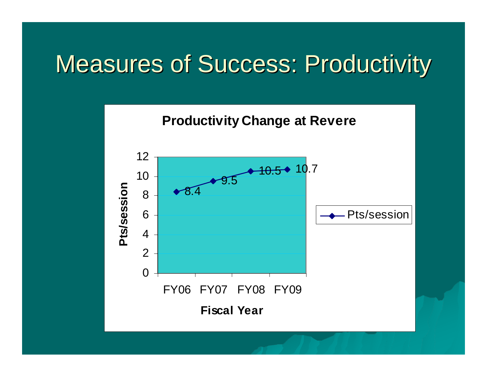#### **Measures of Success: Productivity**

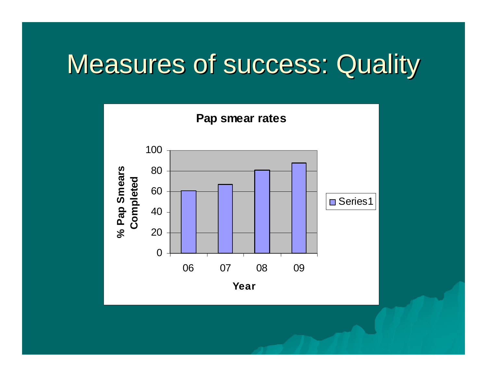# **Measures of success: Quality**

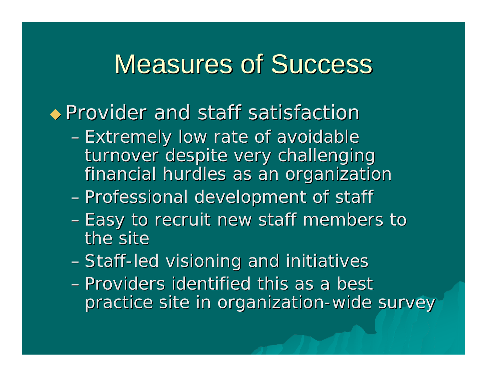#### **Measures of Success**

#### $\rightarrow$  Provider and staff satisfaction

- -Extremely low rate of avoidable turnover despite very challenging financial hurdles as an organization
- -Professional development of staff
- Easy to recruit new staff members to the site
- Staff-led visioning and initiatives
- Providers identified this as a best practice site in organization-wide survey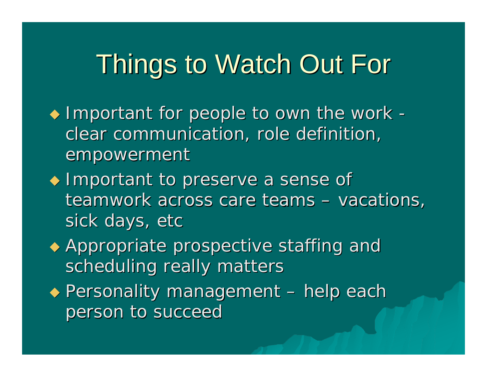# **Things to Watch Out For**

- $\blacklozenge$  Important for people to own the work clear communication, role definition, empowerment
- $\blacklozenge$  Important to preserve a sense of teamwork across care teams – $-$  vacations,  $\overline{\phantom{a}}$ sick days, etc
- $\leftrightarrow$  Appropriate prospective staffing and scheduling really matters
- $\blacklozenge$  Personality management –– help each person to succeed